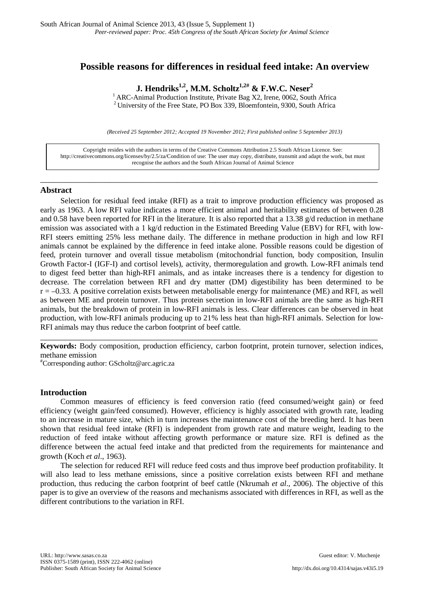# **Possible reasons for differences in residual feed intake: An overview**

**J. Hendriks<sup>1,2</sup>, M.M. Scholtz<sup>1,2#</sup> & F.W.C. Neser<sup>2</sup><br><sup>1</sup> ARC-Animal Production Institute, Private Bag X2, Irene, 0062, South Africa** 

 $1$ <sup>2</sup> University of the Free State, PO Box 339, Bloemfontein, 9300, South Africa

*(Received 25 September 2012; Accepted 19 November 2012; First published online 5 September 2013)*

Copyright resides with the authors in terms of the Creative Commons Attribution 2.5 South African Licence. See: [http://creativecommons.org/licenses/by/2.5/za/C](http://creativecommons.org/licenses/by/2.5/za/)ondition of use: The user may copy, distribute, transmit and adapt the work, but must recognise the authors and the South African Journal of Animal Science

\_\_\_\_\_\_\_\_\_\_\_\_\_\_\_\_\_\_\_\_\_\_\_\_\_\_\_\_\_\_\_\_\_\_\_\_\_\_\_\_\_\_\_\_\_\_\_\_\_\_\_\_\_\_\_\_\_\_\_\_\_\_\_\_\_\_\_\_\_\_\_\_\_\_\_\_\_\_\_

## **Abstract**

Selection for residual feed intake (RFI) as a trait to improve production efficiency was proposed as early as 1963. A low RFI value indicates a more efficient animal and heritability estimates of between 0.28 and 0.58 have been reported for RFI in the literature. It is also reported that a 13.38 g/d reduction in methane emission was associated with a 1 kg/d reduction in the Estimated Breeding Value (EBV) for RFI, with low-RFI steers emitting 25% less methane daily. The difference in methane production in high and low RFI animals cannot be explained by the difference in feed intake alone. Possible reasons could be digestion of feed, protein turnover and overall tissue metabolism (mitochondrial function, body composition, Insulin Growth Factor-I (IGF-I) and cortisol levels), activity, thermoregulation and growth. Low-RFI animals tend to digest feed better than high-RFI animals, and as intake increases there is a tendency for digestion to decrease. The correlation between RFI and dry matter (DM) digestibility has been determined to be  $r = -0.33$ . A positive correlation exists between metabolisable energy for maintenance (ME) and RFI, as well as between ME and protein turnover. Thus protein secretion in low-RFI animals are the same as high-RFI animals, but the breakdown of protein in low-RFI animals is less. Clear differences can be observed in heat production, with low-RFI animals producing up to 21% less heat than high-RFI animals. Selection for low-RFI animals may thus reduce the carbon footprint of beef cattle.

**Keywords:** Body composition, production efficiency, carbon footprint, protein turnover, selection indices, methane emission

\_\_\_\_\_\_\_\_\_\_\_\_\_\_\_\_\_\_\_\_\_\_\_\_\_\_\_\_\_\_\_\_\_\_\_\_\_\_\_\_\_\_\_\_\_\_\_\_\_\_\_\_\_\_\_\_\_\_\_\_\_\_\_\_\_\_\_\_\_\_\_\_\_\_\_\_\_\_\_

# Corresponding author: GScholtz@arc.agric.za

## **Introduction**

Common measures of efficiency is feed conversion ratio (feed consumed/weight gain) or feed efficiency (weight gain/feed consumed). However, efficiency is highly associated with growth rate, leading to an increase in mature size, which in turn increases the maintenance cost of the breeding herd. It has been shown that residual feed intake (RFI) is independent from growth rate and mature weight, leading to the reduction of feed intake without affecting growth performance or mature size. RFI is defined as the difference between the actual feed intake and that predicted from the requirements for maintenance and growth (Koch *et al*., 1963).

The selection for reduced RFI will reduce feed costs and thus improve beef production profitability. It will also lead to less methane emissions, since a positive correlation exists between RFI and methane production, thus reducing the carbon footprint of beef cattle (Nkrumah *et al*., 2006). The objective of this paper is to give an overview of the reasons and mechanisms associated with differences in RFI, as well as the different contributions to the variation in RFI.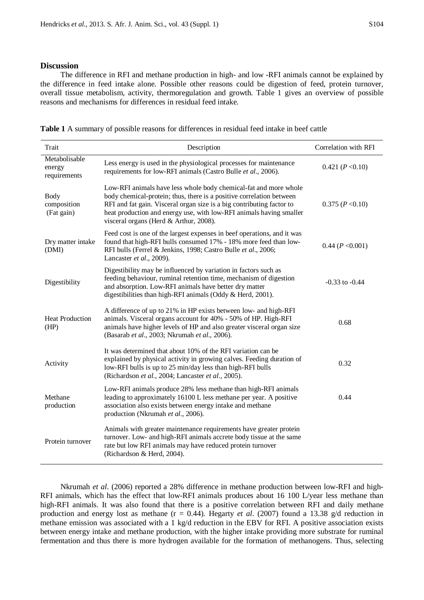#### **Discussion**

The difference in RFI and methane production in high- and low -RFI animals cannot be explained by the difference in feed intake alone. Possible other reasons could be digestion of feed, protein turnover, overall tissue metabolism, activity, thermoregulation and growth. Table 1 gives an overview of possible reasons and mechanisms for differences in residual feed intake.

**Table 1** A summary of possible reasons for differences in residual feed intake in beef cattle

| Trait                                   | Description                                                                                                                                                                                                                                                                                                                        | Correlation with RFI |
|-----------------------------------------|------------------------------------------------------------------------------------------------------------------------------------------------------------------------------------------------------------------------------------------------------------------------------------------------------------------------------------|----------------------|
| Metabolisable<br>energy<br>requirements | Less energy is used in the physiological processes for maintenance<br>requirements for low-RFI animals (Castro Bulle et al., 2006).                                                                                                                                                                                                | 0.421 $(P<0.10)$     |
| Body<br>composition<br>(Fat gain)       | Low-RFI animals have less whole body chemical-fat and more whole<br>body chemical-protein; thus, there is a positive correlation between<br>RFI and fat gain. Visceral organ size is a big contributing factor to<br>heat production and energy use, with low-RFI animals having smaller<br>visceral organs (Herd & Arthur, 2008). | 0.375 (P < 0.10)     |
| Dry matter intake<br>(DMI)              | Feed cost is one of the largest expenses in beef operations, and it was<br>found that high-RFI bulls consumed 17% - 18% more feed than low-<br>RFI bulls (Ferrel & Jenkins, 1998; Castro Bulle et al., 2006;<br>Lancaster et al., 2009).                                                                                           | 0.44 (P < 0.001)     |
| Digestibility                           | Digestibility may be influenced by variation in factors such as<br>feeding behaviour, ruminal retention time, mechanism of digestion<br>and absorption. Low-RFI animals have better dry matter<br>digestibilities than high-RFI animals (Oddy & Herd, 2001).                                                                       | $-0.33$ to $-0.44$   |
| <b>Heat Production</b><br>(HP)          | A difference of up to 21% in HP exists between low- and high-RFI<br>animals. Visceral organs account for 40% - 50% of HP. High-RFI<br>animals have higher levels of HP and also greater visceral organ size<br>(Basarab et al., 2003; Nkrumah et al., 2006).                                                                       | 0.68                 |
| Activity                                | It was determined that about 10% of the RFI variation can be<br>explained by physical activity in growing calves. Feeding duration of<br>low-RFI bulls is up to 25 min/day less than high-RFI bulls<br>(Richardson et al., 2004; Lancaster et al., 2005).                                                                          | 0.32                 |
| Methane<br>production                   | Low-RFI animals produce 28% less methane than high-RFI animals<br>leading to approximately 16100 L less methane per year. A positive<br>association also exists between energy intake and methane<br>production (Nkrumah et al., 2006).                                                                                            | 0.44                 |
| Protein turnover                        | Animals with greater maintenance requirements have greater protein<br>turnover. Low- and high-RFI animals accrete body tissue at the same<br>rate but low RFI animals may have reduced protein turnover<br>(Richardson & Herd, 2004).                                                                                              |                      |

Nkrumah *et al*. (2006) reported a 28% difference in methane production between low-RFI and high-RFI animals, which has the effect that low-RFI animals produces about 16 100 L/year less methane than high-RFI animals. It was also found that there is a positive correlation between RFI and daily methane production and energy lost as methane (r = 0.44). Hegarty *et al*. (2007) found a 13.38 g/d reduction in methane emission was associated with a 1 kg/d reduction in the EBV for RFI. A positive association exists between energy intake and methane production, with the higher intake providing more substrate for ruminal fermentation and thus there is more hydrogen available for the formation of methanogens. Thus, selecting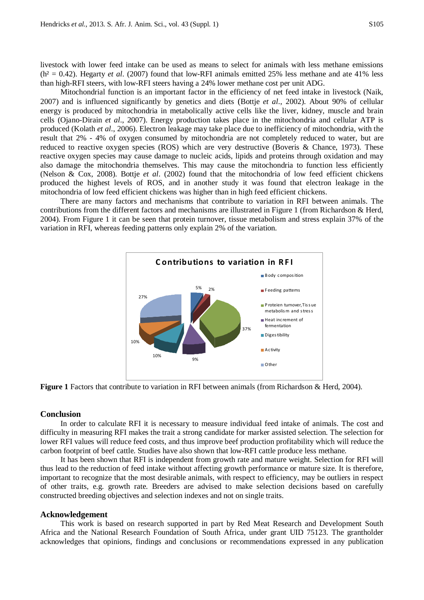livestock with lower feed intake can be used as means to select for animals with less methane emissions  $(h^2 = 0.42)$ . Hegarty *et al.* (2007) found that low-RFI animals emitted 25% less methane and ate 41% less than high-RFI steers, with low-RFI steers having a 24% lower methane cost per unit ADG.

Mitochondrial function is an important factor in the efficiency of net feed intake in livestock (Naik, 2007) and is influenced significantly by genetics and diets (Bottje *et al*., 2002). About 90% of cellular energy is produced by mitochondria in metabolically active cells like the liver, kidney, muscle and brain cells (Ojano-Dirain *et al*., 2007). Energy production takes place in the mitochondria and cellular ATP is produced (Kolath *et al*., 2006). Electron leakage may take place due to inefficiency of mitochondria, with the result that 2% - 4% of oxygen consumed by mitochondria are not completely reduced to water, but are reduced to reactive oxygen species (ROS) which are very destructive (Boveris & Chance, 1973). These reactive oxygen species may cause damage to nucleic acids, lipids and proteins through oxidation and may also damage the mitochondria themselves. This may cause the mitochondria to function less efficiently (Nelson & Cox, 2008). Bottje *et al*. (2002) found that the mitochondria of low feed efficient chickens produced the highest levels of ROS, and in another study it was found that electron leakage in the mitochondria of low feed efficient chickens was higher than in high feed efficient chickens.

There are many factors and mechanisms that contribute to variation in RFI between animals. The contributions from the different factors and mechanisms are illustrated in Figure 1 (from Richardson & Herd, 2004). From Figure 1 it can be seen that protein turnover, tissue metabolism and stress explain 37% of the variation in RFI, whereas feeding patterns only explain 2% of the variation.



**Figure 1** Factors that contribute to variation in RFI between animals (from Richardson & Herd, 2004).

#### **Conclusion**

In order to calculate RFI it is necessary to measure individual feed intake of animals. The cost and difficulty in measuring RFI makes the trait a strong candidate for marker assisted selection. The selection for lower RFI values will reduce feed costs, and thus improve beef production profitability which will reduce the carbon footprint of beef cattle. Studies have also shown that low-RFI cattle produce less methane.

It has been shown that RFI is independent from growth rate and mature weight. Selection for RFI will thus lead to the reduction of feed intake without affecting growth performance or mature size. It is therefore, important to recognize that the most desirable animals, with respect to efficiency, may be outliers in respect of other traits, e.g. growth rate. Breeders are advised to make selection decisions based on carefully constructed breeding objectives and selection indexes and not on single traits.

#### **Acknowledgement**

This work is based on research supported in part by Red Meat Research and Development South Africa and the National Research Foundation of South Africa, under grant UID 75123. The grantholder acknowledges that opinions, findings and conclusions or recommendations expressed in any publication